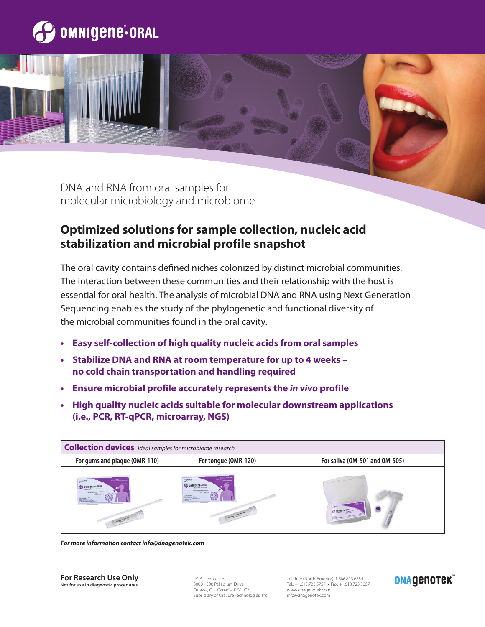

DNA and RNA from oral samples for molecular microbiology and microbiome

# **Optimized solutions for sample collection, nucleic acid stabilization and microbial profile snapshot**

The oral cavity contains defined niches colonized by distinct microbial communities. The interaction between these communities and their relationship with the host is essential for oral health. The analysis of microbial DNA and RNA using Next Generation Sequencing enables the study of the phylogenetic and functional diversity of the microbial communities found in the oral cavity.

- **• Easy self-collection of high quality nucleic acids from oral samples**
- **• Stabilize DNA and RNA at room temperature for up to 4 weeks no cold chain transportation and handling required**
- **• Ensure microbial profile accurately represents the** *in vivo* **profile**
- **• High quality nucleic acids suitable for molecular downstream applications (i.e., PCR, RT-qPCR, microarray, NGS)**



*For more information contact info@dnagenotek.com*

**For Research Use Only Not for use in diagnostic procedures**

DNA Genotek Inc. 3000 - 500 Palladium Drive Ottawa, ON, Canada K2V 1C2 Subsidiary of OraSure Technologies, Inc.

Toll-free (North America): 1.866.813.6354 Tel.: +1.613.723.5757 • Fax: +1.613.723.5057 www.dnagenotek.com info@dnagenotek.com